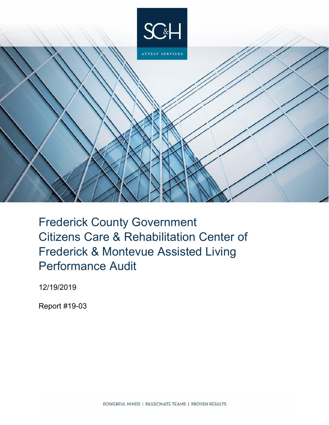

Frederick County Government Citizens Care & Rehabilitation Center of Frederick & Montevue Assisted Living Performance Audit

12/19/2019

Report #19-03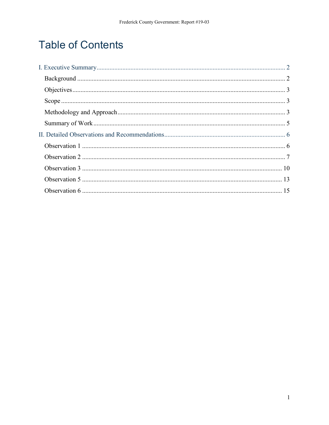# **Table of Contents**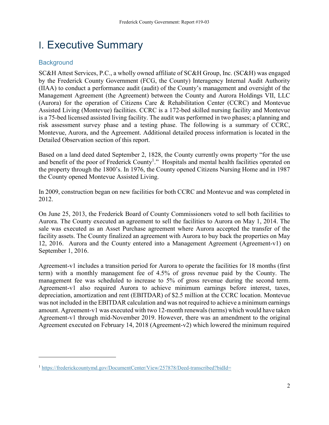# I. Executive Summary

# **Background**

<u>.</u>

SC&H Attest Services, P.C., a wholly owned affiliate of SC&H Group, Inc. (SC&H) was engaged by the Frederick County Government (FCG, the County) Interagency Internal Audit Authority (IIAA) to conduct a performance audit (audit) of the County's management and oversight of the Management Agreement (the Agreement) between the County and Aurora Holdings VII, LLC (Aurora) for the operation of Citizens Care & Rehabilitation Center (CCRC) and Montevue Assisted Living (Montevue) facilities. CCRC is a 172-bed skilled nursing facility and Montevue is a 75-bed licensed assisted living facility. The audit was performed in two phases; a planning and risk assessment survey phase and a testing phase. The following is a summary of CCRC, Montevue, Aurora, and the Agreement. Additional detailed process information is located in the Detailed Observation section of this report.

Based on a land deed dated September 2, 1828, the County currently owns property "for the use and benefit of the poor of Frederick County<sup>1</sup>." Hospitals and mental health facilities operated on the property through the 1800's. In 1976, the County opened Citizens Nursing Home and in 1987 the County opened Montevue Assisted Living.

In 2009, construction began on new facilities for both CCRC and Montevue and was completed in 2012.

On June 25, 2013, the Frederick Board of County Commissioners voted to sell both facilities to Aurora. The County executed an agreement to sell the facilities to Aurora on May 1, 2014. The sale was executed as an Asset Purchase agreement where Aurora accepted the transfer of the facility assets. The County finalized an agreement with Aurora to buy back the properties on May 12, 2016. Aurora and the County entered into a Management Agreement (Agreement-v1) on September 1, 2016.

Agreement-v1 includes a transition period for Aurora to operate the facilities for 18 months (first term) with a monthly management fee of 4.5% of gross revenue paid by the County. The management fee was scheduled to increase to 5% of gross revenue during the second term. Agreement-v1 also required Aurora to achieve minimum earnings before interest, taxes, depreciation, amortization and rent (EBITDAR) of \$2.5 million at the CCRC location. Montevue was not included in the EBITDAR calculation and was not required to achieve a minimum earnings amount. Agreement-v1 was executed with two 12-month renewals (terms) which would have taken Agreement-v1 through mid-November 2019. However, there was an amendment to the original Agreement executed on February 14, 2018 (Agreement-v2) which lowered the minimum required

<sup>&</sup>lt;sup>1</sup> https://frederickcountymd.gov/DocumentCenter/View/257878/Deed-transcribed?bidId=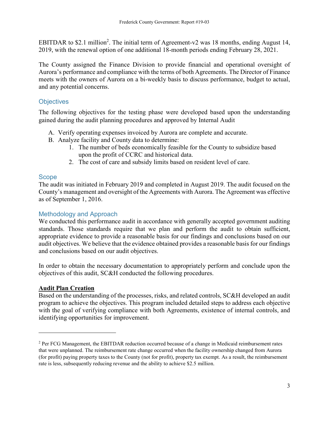EBITDAR to \$2.1 million<sup>2</sup>. The initial term of Agreement-v2 was 18 months, ending August 14, 2019, with the renewal option of one additional 18-month periods ending February 28, 2021.

The County assigned the Finance Division to provide financial and operational oversight of Aurora's performance and compliance with the terms of both Agreements. The Director of Finance meets with the owners of Aurora on a bi-weekly basis to discuss performance, budget to actual, and any potential concerns.

# **Objectives**

The following objectives for the testing phase were developed based upon the understanding gained during the audit planning procedures and approved by Internal Audit

- A. Verify operating expenses invoiced by Aurora are complete and accurate.
- B. Analyze facility and County data to determine:
	- 1. The number of beds economically feasible for the County to subsidize based upon the profit of CCRC and historical data.
	- 2. The cost of care and subsidy limits based on resident level of care.

## **Scope**

The audit was initiated in February 2019 and completed in August 2019. The audit focused on the County's management and oversight of the Agreements with Aurora. The Agreement was effective as of September 1, 2016.

## Methodology and Approach

We conducted this performance audit in accordance with generally accepted government auditing standards. Those standards require that we plan and perform the audit to obtain sufficient, appropriate evidence to provide a reasonable basis for our findings and conclusions based on our audit objectives. We believe that the evidence obtained provides a reasonable basis for our findings and conclusions based on our audit objectives.

In order to obtain the necessary documentation to appropriately perform and conclude upon the objectives of this audit, SC&H conducted the following procedures.

## **Audit Plan Creation**

<u>.</u>

Based on the understanding of the processes, risks, and related controls, SC&H developed an audit program to achieve the objectives. This program included detailed steps to address each objective with the goal of verifying compliance with both Agreements, existence of internal controls, and identifying opportunities for improvement.

<sup>&</sup>lt;sup>2</sup> Per FCG Management, the EBITDAR reduction occurred because of a change in Medicaid reimbursement rates that were unplanned. The reimbursement rate change occurred when the facility ownership changed from Aurora (for profit) paying property taxes to the County (not for profit), property tax exempt. As a result, the reimbursement rate is less, subsequently reducing revenue and the ability to achieve \$2.5 million.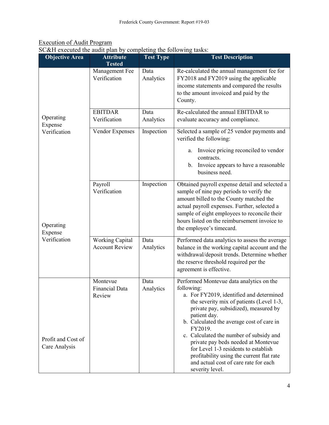# Execution of Audit Program

SC&H executed the audit plan by completing the following tasks:

| <b>Objective Area</b>               | <b>Attribute</b><br><b>Tested</b>               | <b>Test Type</b>  | <b>Test Description</b>                                                                                                                                                                                                                                                                                                                                                                                                                                                                            |
|-------------------------------------|-------------------------------------------------|-------------------|----------------------------------------------------------------------------------------------------------------------------------------------------------------------------------------------------------------------------------------------------------------------------------------------------------------------------------------------------------------------------------------------------------------------------------------------------------------------------------------------------|
|                                     | Management Fee<br>Verification                  | Data<br>Analytics | Re-calculated the annual management fee for<br>FY2018 and FY2019 using the applicable<br>income statements and compared the results<br>to the amount invoiced and paid by the<br>County.                                                                                                                                                                                                                                                                                                           |
| Operating<br>Expense                | <b>EBITDAR</b><br>Verification                  | Data<br>Analytics | Re-calculated the annual EBITDAR to<br>evaluate accuracy and compliance.                                                                                                                                                                                                                                                                                                                                                                                                                           |
| Verification                        | Vendor Expenses                                 | Inspection        | Selected a sample of 25 vendor payments and<br>verified the following:                                                                                                                                                                                                                                                                                                                                                                                                                             |
|                                     |                                                 |                   | Invoice pricing reconciled to vendor<br>a.<br>contracts.<br>b. Invoice appears to have a reasonable<br>business need.                                                                                                                                                                                                                                                                                                                                                                              |
| Operating<br>Expense                | Payroll<br>Verification                         | Inspection        | Obtained payroll expense detail and selected a<br>sample of nine pay periods to verify the<br>amount billed to the County matched the<br>actual payroll expenses. Further, selected a<br>sample of eight employees to reconcile their<br>hours listed on the reimbursement invoice to<br>the employee's timecard.                                                                                                                                                                                  |
| Verification                        | <b>Working Capital</b><br><b>Account Review</b> | Data<br>Analytics | Performed data analytics to assess the average<br>balance in the working capital account and the<br>withdrawal/deposit trends. Determine whether<br>the reserve threshold required per the<br>agreement is effective.                                                                                                                                                                                                                                                                              |
| Profit and Cost of<br>Care Analysis | Montevue<br>Financial Data<br>Review            | Data<br>Analytics | Performed Montevue data analytics on the<br>following:<br>a. For FY2019, identified and determined<br>the severity mix of patients (Level 1-3,<br>private pay, subsidized), measured by<br>patient day.<br>b. Calculated the average cost of care in<br>FY2019.<br>c. Calculated the number of subsidy and<br>private pay beds needed at Montevue<br>for Level 1-3 residents to establish<br>profitability using the current flat rate<br>and actual cost of care rate for each<br>severity level. |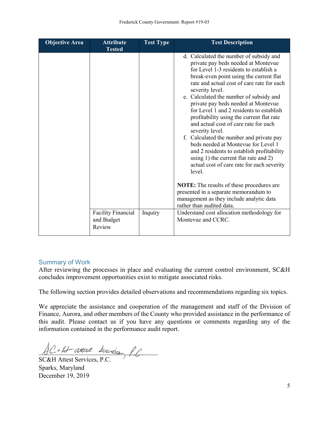| <b>Objective Area</b> | <b>Attribute</b><br><b>Tested</b>                 | <b>Test Type</b> | <b>Test Description</b>                                                                                                                                                                                                                                                                                                                                                                                                                                                                                                                                                                                                                                                                                                                                                                                    |
|-----------------------|---------------------------------------------------|------------------|------------------------------------------------------------------------------------------------------------------------------------------------------------------------------------------------------------------------------------------------------------------------------------------------------------------------------------------------------------------------------------------------------------------------------------------------------------------------------------------------------------------------------------------------------------------------------------------------------------------------------------------------------------------------------------------------------------------------------------------------------------------------------------------------------------|
|                       |                                                   |                  | d. Calculated the number of subsidy and<br>private pay beds needed at Montevue<br>for Level 1-3 residents to establish a<br>break-even point using the current flat<br>rate and actual cost of care rate for each<br>severity level.<br>e. Calculated the number of subsidy and<br>private pay beds needed at Montevue<br>for Level 1 and 2 residents to establish<br>profitability using the current flat rate<br>and actual cost of care rate for each<br>severity level.<br>f. Calculated the number and private pay<br>beds needed at Montevue for Level 1<br>and 2 residents to establish profitability<br>using 1) the current flat rate and 2)<br>actual cost of care rate for each severity<br>level.<br><b>NOTE:</b> The results of these procedures are<br>presented in a separate memorandum to |
|                       |                                                   |                  | management as they include analytic data<br>rather than audited data.                                                                                                                                                                                                                                                                                                                                                                                                                                                                                                                                                                                                                                                                                                                                      |
|                       | <b>Facility Financial</b><br>and Budget<br>Review | Inquiry          | Understand cost allocation methodology for<br>Montevue and CCRC.                                                                                                                                                                                                                                                                                                                                                                                                                                                                                                                                                                                                                                                                                                                                           |

## Summary of Work

After reviewing the processes in place and evaluating the current control environment, SC&H concludes improvement opportunities exist to mitigate associated risks.

The following section provides detailed observations and recommendations regarding six topics.

We appreciate the assistance and cooperation of the management and staff of the Division of Finance, Aurora, and other members of the County who provided assistance in the performance of this audit. Please contact us if you have any questions or comments regarding any of the information contained in the performance audit report.

 $AC + B$  attest Services, P.C.

SC&H Attest Services, P.C. Sparks, Maryland December 19, 2019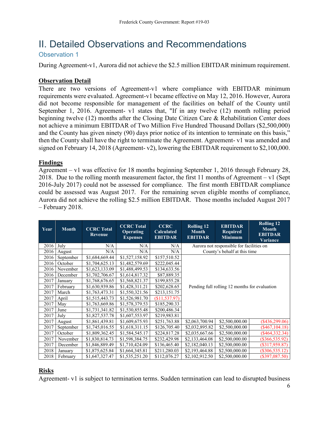# II. Detailed Observations and Recommendations

Observation 1

During Agreement-v1, Aurora did not achieve the \$2.5 million EBITDAR minimum requirement.

# **Observation Detail**

There are two versions of Agreement-v1 where compliance with EBITDAR minimum requirements were evaluated. Agreement-v1 became effective on May 12, 2016. However, Aurora did not become responsible for management of the facilities on behalf of the County until September 1, 2016. Agreement- v1 states that, "If in any twelve (12) month rolling period beginning twelve (12) months after the Closing Date Citizen Care & Rehabilitation Center does not achieve a minimum EBITDAR of Two Million Five Hundred Thousand Dollars (\$2,500,000) and the County has given ninety (90) days prior notice of its intention to terminate on this basis," then the County shall have the right to terminate the Agreement. Agreement- v1 was amended and signed on February 14, 2018 (Agreement- v2), lowering the EBITDAR requirement to \$2,100,000.

## **Findings**

Agreement – v1 was effective for 18 months beginning September 1, 2016 through February 28, 2018. Due to the rolling month measurement factor, the first 11 months of Agreement – v1 (Sept 2016-July 2017) could not be assessed for compliance. The first month EBITDAR compliance could be assessed was August 2017. For the remaining seven eligible months of compliance, Aurora did not achieve the rolling \$2.5 million EBITDAR. Those months included August 2017 – February 2018.

| Year | <b>Month</b> | <b>CCRC</b> Total<br>Revenue | <b>CCRC</b> Total<br><b>Operating</b><br><b>Expenses</b> | <b>CCRC</b><br><b>Calculated</b><br><b>EBITDAR</b> | <b>Rolling 12</b><br><b>Month</b><br><b>EBITDAR</b> | <b>EBITDAR</b><br><b>Required</b><br><b>Minimum</b> | <b>Rolling 12</b><br><b>Month</b><br><b>EBITDAR</b><br>Variance |
|------|--------------|------------------------------|----------------------------------------------------------|----------------------------------------------------|-----------------------------------------------------|-----------------------------------------------------|-----------------------------------------------------------------|
| 2016 | July         | N/A                          | N/A                                                      | N/A                                                | Aurora not responsible for facilities on            |                                                     |                                                                 |
| 2016 | August       | N/A                          | N/A                                                      | N/A                                                |                                                     | County's behalf at this time                        |                                                                 |
| 2016 | September    | \$1,684,669.44               | \$1,527,158.92                                           | \$157,510.52                                       |                                                     |                                                     |                                                                 |
| 2016 | October      | \$1,704,625.13               | \$1,482,579.69                                           | \$222,045.44                                       |                                                     |                                                     |                                                                 |
| 2016 | November     | \$1,623,133.09               | \$1,488,499.53                                           | \$134,633.56                                       |                                                     |                                                     |                                                                 |
| 2016 | December     | \$1,702,706.67               | \$1,614,817.32                                           | \$87,889.35                                        | Pending full rolling 12 months for evaluation       |                                                     |                                                                 |
| 2017 | January      | \$1,768,676.65               | \$1,568,821.37                                           | \$199,855.28                                       |                                                     |                                                     |                                                                 |
| 2017 | February     | \$1,630,939.86               | \$1,428,311.21                                           | \$202,628.65                                       |                                                     |                                                     |                                                                 |
| 2017 | March        | \$1,763,473.31               | \$1,550,321.56                                           | \$213,151.75                                       |                                                     |                                                     |                                                                 |
| 2017 | April        | \$1,515,443.73               | \$1,526,981.70                                           | (\$11,537.97)                                      |                                                     |                                                     |                                                                 |
| 2017 | May          | \$1,763,669.86               | \$1,578,379.53                                           | \$185,290.33                                       |                                                     |                                                     |                                                                 |
| 2017 | June         | \$1,731,341.82               | \$1,530,855.48                                           | \$200,486.34                                       |                                                     |                                                     |                                                                 |
| 2017 | July         | \$1,827,537.78               | \$1,607,553.97                                           | \$219,983.81                                       |                                                     |                                                     |                                                                 |
| 2017 | August       | \$1,861,439.81               | \$1,609,675.93                                           | \$251,763.88                                       | \$2,063,700.94                                      | \$2,500,000.00                                      | $(\$436,299.06)$                                                |
| 2017 | September    | \$1,745,016.55               | \$1,618,311.15                                           | \$126,705.40                                       | \$2,032,895.82                                      | \$2,500,000.00                                      | $(\$467, 104.18)$                                               |
| 2017 | October      | \$1,809,362.45               | \$1,584,545.17                                           | \$224,817.28                                       | \$2,035,667.66                                      | \$2,500,000.00                                      | $(\$464,332.34)$                                                |
| 2017 | November     | \$1,830,814.73               | \$1,598,384.75                                           | \$232,429.98                                       | \$2,133,464.08                                      | \$2,500,000.00                                      | $(\$366,535.92)$                                                |
| 2017 | December     | \$1,846,889.49               | \$1,710,424.09                                           | \$136,465.40                                       | \$2,182,040.13                                      | \$2,500,000.00                                      | $(\$317,959.87)$                                                |
| 2018 | January      | \$1,875,625.84               | \$1,664,345.81                                           | \$211,280.03                                       | \$2,193,464.88                                      | \$2,500,000.00                                      | $(\$306,535.12)$                                                |
| 2018 | February     | \$1,647,327.47               | \$1,535,251.20                                           | \$112,076.27                                       | \$2,102,912.50                                      | \$2,500,000.00                                      | $(\$397,087.50)$                                                |

# **Risks**

Agreement- v1 is subject to termination terms. Sudden termination can lead to disrupted business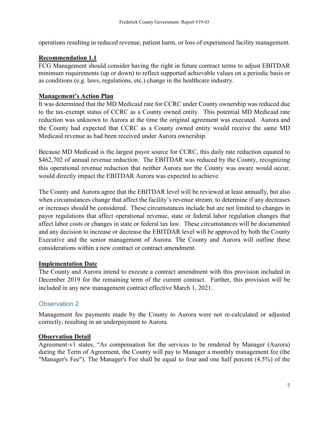operations resulting in reduced revenue, patient harm, or loss of experienced facility management.

## **Recommendation 1.1**

FCG Management should consider having the right in future contract terms to adjust EBITDAR minimum requirements (up or down) to reflect supported achievable values on a periodic basis or as conditions (e.g. laws, regulations, etc.) change in the healthcare industry.

## **Management's Action Plan**

It was determined that the MD Medicaid rate for CCRC under County ownership was reduced due to the tax-exempt status of CCRC as a County owned entity. This potential MD Medicaid rate reduction was unknown to Aurora at the time the original agreement was executed. Aurora and the County had expected that CCRC as a County owned entity would receive the same MD Medicaid revenue as had been received under Aurora ownership.

Because MD Medicaid is the largest payor source for CCRC, this daily rate reduction equated to \$462,702 of annual revenue reduction. The EBITDAR was reduced by the County, recognizing this operational revenue reduction that neither Aurora nor the County was aware would occur, would directly impact the EBITDAR Aurora was expected to achieve.

The County and Aurora agree that the EBITDAR level will be reviewed at least annually, but also when circumstances change that affect the facility's revenue stream, to determine if any decreases or increases should be considered. These circumstances include but are not limited to changes in payor regulations that affect operational revenue, state or federal labor regulation changes that affect labor costs or changes in state or federal tax law. These circumstances will be documented and any decision to increase or decrease the EBITDAR level will be approved by both the County Executive and the senior management of Aurora. The County and Aurora will outline these considerations within a new contract or contract amendment.

#### **Implementation Date**

The County and Aurora intend to execute a contract amendment with this provision included in December 2019 for the remaining term of the current contract. Further, this provision will be included in any new management contract effective March 1, 2021.

## Observation 2

Management fee payments made by the County to Aurora were not re-calculated or adjusted correctly, resulting in an underpayment to Aurora.

#### **Observation Detail**

Agreement-v1 states, "As compensation for the services to be rendered by Manager (Aurora) during the Term of Agreement, the County will pay to Manager a monthly management fee (the "Manager's Fee"). The Manager's Fee shall be equal to four and one half percent (4.5%) of the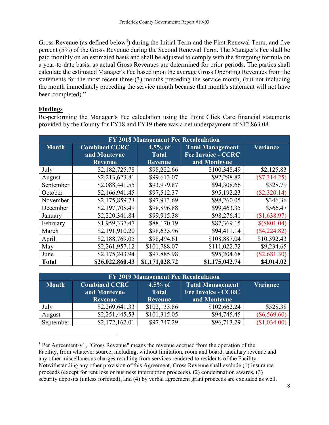Gross Revenue (as defined below<sup>3</sup>) during the Initial Term and the First Renewal Term, and five percent (5%) of the Gross Revenue during the Second Renewal Term. The Manager's Fee shall be paid monthly on an estimated basis and shall be adjusted to comply with the foregoing formula on a year-to-date basis, as actual Gross Revenues are determined for prior periods. The parties shall calculate the estimated Manager's Fee based upon the average Gross Operating Revenues from the statements for the most recent three (3) months preceding the service month, (but not including the month immediately preceding the service month because that month's statement will not have been completed)."

# **Findings**

<u>.</u>

Re-performing the Manager's Fee calculation using the Point Click Care financial statements provided by the County for FY18 and FY19 there was a net underpayment of \$12,863.08.

| FY 2018 Management Fee Recalculation |                                                               |                |                           |                |  |  |
|--------------------------------------|---------------------------------------------------------------|----------------|---------------------------|----------------|--|--|
| <b>Month</b>                         | <b>Combined CCRC</b><br>$4.5\%$ of<br><b>Total Management</b> |                | Variance                  |                |  |  |
|                                      | and Montevue                                                  | <b>Total</b>   | <b>Fee Invoice - CCRC</b> |                |  |  |
|                                      | <b>Revenue</b>                                                | <b>Revenue</b> | and Montevue              |                |  |  |
| July                                 | \$2,182,725.78                                                | \$98,222.66    | \$100,348.49              | \$2,125.83     |  |  |
| August                               | \$2,213,623.81                                                | \$99,613.07    | \$92,298.82               | $(\$7,314.25)$ |  |  |
| September                            | \$2,088,441.55                                                | \$93,979.87    | \$94,308.66               | \$328.79       |  |  |
| October                              | \$2,166,941.45                                                | \$97,512.37    | \$95,192.23               | $(\$2,320.14)$ |  |  |
| November                             | \$2,175,859.73                                                | \$97,913.69    | \$98,260.05               | \$346.36       |  |  |
| December                             | \$2,197,708.49                                                | \$98,896.88    | \$99,463.35               | \$566.47       |  |  |
| January                              | \$2,220,341.84                                                | \$99,915.38    | \$98,276.41               | (\$1,638.97)   |  |  |
| February                             | \$1,959,337.47                                                | \$88,170.19    | \$87,369.15               | $$(\$801.04)$  |  |  |
| March                                | \$2,191,910.20                                                | \$98,635.96    | \$94,411.14               | $(\$4,224.82)$ |  |  |
| April                                | \$2,188,769.05                                                | \$98,494.61    | \$108,887.04              | \$10,392.43    |  |  |
| May                                  | \$2,261,957.12                                                | \$101,788.07   | \$111,022.72              | \$9,234.65     |  |  |
| June                                 | \$2,175,243.94                                                | \$97,885.98    | \$95,204.68               | $(\$2,681.30)$ |  |  |
| <b>Total</b>                         | \$26,022,860.43                                               | \$1,171,028.72 | \$1,175,042.74            | \$4,014.02     |  |  |

| FY 2019 Management Fee Recalculation |                                                                                                                            |                |              |                |  |  |
|--------------------------------------|----------------------------------------------------------------------------------------------------------------------------|----------------|--------------|----------------|--|--|
| <b>Month</b>                         | $4.5\%$ of<br><b>Total Management</b><br><b>Combined CCRC</b><br><b>Fee Invoice - CCRC</b><br>and Montevue<br><b>Total</b> |                | Variance     |                |  |  |
|                                      | <b>Revenue</b>                                                                                                             | <b>Revenue</b> | and Montevue |                |  |  |
| July                                 | \$2,269,641.33                                                                                                             | \$102,133.86   | \$102,662.24 | \$528.38       |  |  |
| August                               | \$2,251,445.53                                                                                                             | \$101,315.05   | \$94,745.45  | $(\$6,569.60)$ |  |  |
| September                            | \$2,172,162.01                                                                                                             | \$97,747.29    | \$96,713.29  | \$1,034.00     |  |  |

<sup>&</sup>lt;sup>3</sup> Per Agreement-v1, "Gross Revenue" means the revenue accrued from the operation of the Facility, from whatever source, including, without limitation, room and board, ancillary revenue and any other miscellaneous charges resulting from services rendered to residents of the Facility. Notwithstanding any other provision of this Agreement, Gross Revenue shall exclude (1) insurance proceeds (except for rent loss or business interruption proceeds), (2) condemnation awards, (3) security deposits (unless forfeited), and (4) by verbal agreement grant proceeds are excluded as well.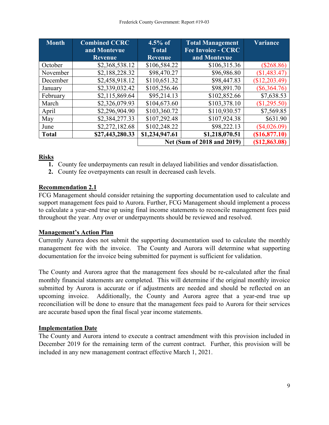| Month        | <b>Combined CCRC</b> | $4.5\%$ of                 | <b>Total Management</b>   | <b>Variance</b> |
|--------------|----------------------|----------------------------|---------------------------|-----------------|
|              | and Montevue         | <b>Total</b>               | <b>Fee Invoice - CCRC</b> |                 |
|              | <b>Revenue</b>       | <b>Revenue</b>             | and Montevue              |                 |
| October      | \$2,368,538.12       | \$106,584.22               | \$106,315.36              | $(\$268.86)$    |
| November     | \$2,188,228.32       | \$98,470.27                | \$96,986.80               | (\$1,483.47)    |
| December     | \$2,458,918.12       | \$110,651.32               | \$98,447.83               | (\$12,203.49)   |
| January      | \$2,339,032.42       | \$105,256.46               | \$98,891.70               | $(\$6,364.76)$  |
| February     | \$2,115,869.64       | \$95,214.13                | \$102,852.66              | \$7,638.53      |
| March        | \$2,326,079.93       | \$104,673.60               | \$103,378.10              | (\$1,295.50)    |
| April        | \$2,296,904.90       | \$103,360.72               | \$110,930.57              | \$7,569.85      |
| May          | \$2,384,277.33       | \$107,292.48               | \$107,924.38              | \$631.90        |
| June         | \$2,272,182.68       | \$102,248.22               | \$98,222.13               | $(\$4,026.09)$  |
| <b>Total</b> | \$27,443,280.33      | \$1,234,947.61             | \$1,218,070.51            | (\$16,877.10)   |
|              |                      | Net (Sum of 2018 and 2019) | (S12, 863.08)             |                 |

# **Risks**

- **1.** County fee underpayments can result in delayed liabilities and vendor dissatisfaction.
- **2.** County fee overpayments can result in decreased cash levels.

# **Recommendation 2.1**

FCG Management should consider retaining the supporting documentation used to calculate and support management fees paid to Aurora. Further, FCG Management should implement a process to calculate a year-end true up using final income statements to reconcile management fees paid throughout the year. Any over or underpayments should be reviewed and resolved.

# **Management's Action Plan**

Currently Aurora does not submit the supporting documentation used to calculate the monthly management fee with the invoice. The County and Aurora will determine what supporting documentation for the invoice being submitted for payment is sufficient for validation.

The County and Aurora agree that the management fees should be re-calculated after the final monthly financial statements are completed. This will determine if the original monthly invoice submitted by Aurora is accurate or if adjustments are needed and should be reflected on an upcoming invoice. Additionally, the County and Aurora agree that a year-end true up reconciliation will be done to ensure that the management fees paid to Aurora for their services are accurate based upon the final fiscal year income statements.

# **Implementation Date**

The County and Aurora intend to execute a contract amendment with this provision included in December 2019 for the remaining term of the current contract. Further, this provision will be included in any new management contract effective March 1, 2021.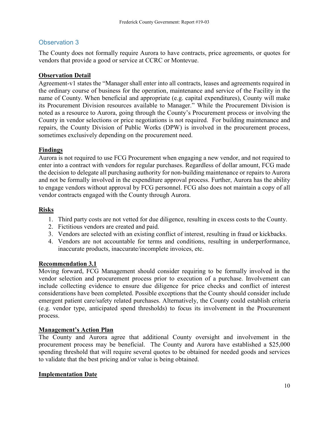## Observation 3

The County does not formally require Aurora to have contracts, price agreements, or quotes for vendors that provide a good or service at CCRC or Montevue.

## **Observation Detail**

Agreement-v1 states the "Manager shall enter into all contracts, leases and agreements required in the ordinary course of business for the operation, maintenance and service of the Facility in the name of County. When beneficial and appropriate (e.g. capital expenditures), County will make its Procurement Division resources available to Manager." While the Procurement Division is noted as a resource to Aurora, going through the County's Procurement process or involving the County in vendor selections or price negotiations is not required. For building maintenance and repairs, the County Division of Public Works (DPW) is involved in the procurement process, sometimes exclusively depending on the procurement need.

## **Findings**

Aurora is not required to use FCG Procurement when engaging a new vendor, and not required to enter into a contract with vendors for regular purchases. Regardless of dollar amount, FCG made the decision to delegate all purchasing authority for non-building maintenance or repairs to Aurora and not be formally involved in the expenditure approval process. Further, Aurora has the ability to engage vendors without approval by FCG personnel. FCG also does not maintain a copy of all vendor contracts engaged with the County through Aurora.

## **Risks**

- 1. Third party costs are not vetted for due diligence, resulting in excess costs to the County.
- 2. Fictitious vendors are created and paid.
- 3. Vendors are selected with an existing conflict of interest, resulting in fraud or kickbacks.
- 4. Vendors are not accountable for terms and conditions, resulting in underperformance, inaccurate products, inaccurate/incomplete invoices, etc.

#### **Recommendation 3.1**

Moving forward, FCG Management should consider requiring to be formally involved in the vendor selection and procurement process prior to execution of a purchase. Involvement can include collecting evidence to ensure due diligence for price checks and conflict of interest considerations have been completed. Possible exceptions that the County should consider include emergent patient care/safety related purchases. Alternatively, the County could establish criteria (e.g. vendor type, anticipated spend thresholds) to focus its involvement in the Procurement process.

#### **Management's Action Plan**

The County and Aurora agree that additional County oversight and involvement in the procurement process may be beneficial. The County and Aurora have established a \$25,000 spending threshold that will require several quotes to be obtained for needed goods and services to validate that the best pricing and/or value is being obtained.

#### **Implementation Date**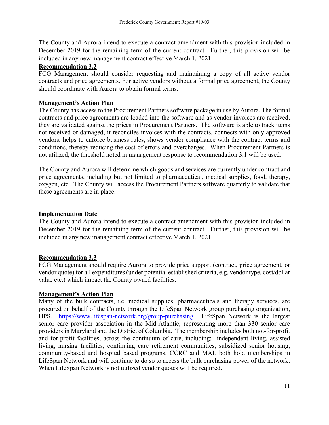The County and Aurora intend to execute a contract amendment with this provision included in December 2019 for the remaining term of the current contract. Further, this provision will be included in any new management contract effective March 1, 2021.

## **Recommendation 3.2**

FCG Management should consider requesting and maintaining a copy of all active vendor contracts and price agreements. For active vendors without a formal price agreement, the County should coordinate with Aurora to obtain formal terms.

## **Management's Action Plan**

The County has access to the Procurement Partners software package in use by Aurora. The formal contracts and price agreements are loaded into the software and as vendor invoices are received, they are validated against the prices in Procurement Partners. The software is able to track items not received or damaged, it reconciles invoices with the contracts, connects with only approved vendors, helps to enforce business rules, shows vendor compliance with the contract terms and conditions, thereby reducing the cost of errors and overcharges. When Procurement Partners is not utilized, the threshold noted in management response to recommendation 3.1 will be used.

The County and Aurora will determine which goods and services are currently under contract and price agreements, including but not limited to pharmaceutical, medical supplies, food, therapy, oxygen, etc. The County will access the Procurement Partners software quarterly to validate that these agreements are in place.

## **Implementation Date**

The County and Aurora intend to execute a contract amendment with this provision included in December 2019 for the remaining term of the current contract. Further, this provision will be included in any new management contract effective March 1, 2021.

#### **Recommendation 3.3**

FCG Management should require Aurora to provide price support (contract, price agreement, or vendor quote) for all expenditures (under potential established criteria, e.g. vendor type, cost/dollar value etc.) which impact the County owned facilities.

#### **Management's Action Plan**

Many of the bulk contracts, i.e. medical supplies, pharmaceuticals and therapy services, are procured on behalf of the County through the LifeSpan Network group purchasing organization, HPS. https://www.lifespan-network.org/group-purchasing. LifeSpan Network is the largest senior care provider association in the Mid-Atlantic, representing more than 330 senior care providers in Maryland and the District of Columbia. The membership includes both not-for-profit and for-profit facilities, across the continuum of care, including: independent living, assisted living, nursing facilities, continuing care retirement communities, subsidized senior housing, community-based and hospital based programs. CCRC and MAL both hold memberships in LifeSpan Network and will continue to do so to access the bulk purchasing power of the network. When LifeSpan Network is not utilized vendor quotes will be required.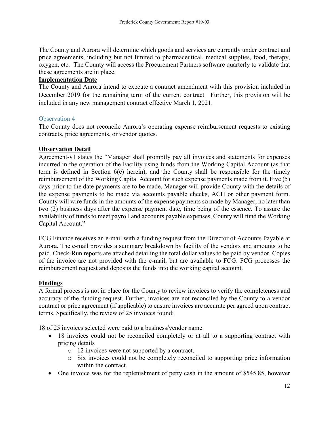The County and Aurora will determine which goods and services are currently under contract and price agreements, including but not limited to pharmaceutical, medical supplies, food, therapy, oxygen, etc. The County will access the Procurement Partners software quarterly to validate that these agreements are in place.

## **Implementation Date**

The County and Aurora intend to execute a contract amendment with this provision included in December 2019 for the remaining term of the current contract. Further, this provision will be included in any new management contract effective March 1, 2021.

#### Observation 4

The County does not reconcile Aurora's operating expense reimbursement requests to existing contracts, price agreements, or vendor quotes.

#### **Observation Detail**

Agreement-v1 states the "Manager shall promptly pay all invoices and statements for expenses incurred in the operation of the Facility using funds from the Working Capital Account (as that term is defined in Section 6(e) herein), and the County shall be responsible for the timely reimbursement of the Working Capital Account for such expense payments made from it. Five (5) days prior to the date payments are to be made, Manager will provide County with the details of the expense payments to be made via accounts payable checks, ACH or other payment form. County will wire funds in the amounts of the expense payments so made by Manager, no later than two (2) business days after the expense payment date, time being of the essence. To assure the availability of funds to meet payroll and accounts payable expenses, County will fund the Working Capital Account."

FCG Finance receives an e-mail with a funding request from the Director of Accounts Payable at Aurora. The e-mail provides a summary breakdown by facility of the vendors and amounts to be paid. Check-Run reports are attached detailing the total dollar values to be paid by vendor. Copies of the invoice are not provided with the e-mail, but are available to FCG. FCG processes the reimbursement request and deposits the funds into the working capital account.

#### **Findings**

A formal process is not in place for the County to review invoices to verify the completeness and accuracy of the funding request. Further, invoices are not reconciled by the County to a vendor contract or price agreement (if applicable) to ensure invoices are accurate per agreed upon contract terms. Specifically, the review of 25 invoices found:

18 of 25 invoices selected were paid to a business/vendor name.

- 18 invoices could not be reconciled completely or at all to a supporting contract with pricing details
	- o 12 invoices were not supported by a contract.
	- o Six invoices could not be completely reconciled to supporting price information within the contract.
- One invoice was for the replenishment of petty cash in the amount of \$545.85, however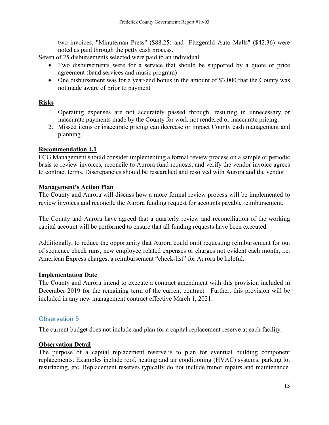two invoices, "Minuteman Press" (\$88.25) and "Fitzgerald Auto Malls" (\$42.36) were noted as paid through the petty cash process.

Seven of 25 disbursements selected were paid to an individual.

- Two disbursements were for a service that should be supported by a quote or price agreement (band services and music program)
- One disbursement was for a year-end bonus in the amount of \$3,000 that the County was not made aware of prior to payment

### **Risks**

- 1. Operating expenses are not accurately passed through, resulting in unnecessary or inaccurate payments made by the County for work not rendered or inaccurate pricing.
- 2. Missed items or inaccurate pricing can decrease or impact County cash management and planning.

#### **Recommendation 4.1**

FCG Management should consider implementing a formal review process on a sample or periodic basis to review invoices, reconcile to Aurora fund requests, and verify the vendor invoice agrees to contract terms. Discrepancies should be researched and resolved with Aurora and the vendor.

#### **Management's Action Plan**

The County and Aurora will discuss how a more formal review process will be implemented to review invoices and reconcile the Aurora funding request for accounts payable reimbursement.

The County and Aurora have agreed that a quarterly review and reconciliation of the working capital account will be performed to ensure that all funding requests have been executed.

Additionally, to reduce the opportunity that Aurora could omit requesting reimbursement for out of sequence check runs, new employee related expenses or charges not evident each month, i.e. American Express charges, a reimbursement "check-list" for Aurora be helpful.

#### **Implementation Date**

The County and Aurora intend to execute a contract amendment with this provision included in December 2019 for the remaining term of the current contract. Further, this provision will be included in any new management contract effective March 1, 2021.

#### Observation 5

The current budget does not include and plan for a capital replacement reserve at each facility.

#### **Observation Detail**

The purpose of a capital replacement reserve is to plan for eventual building component replacements. Examples include roof, heating and air conditioning (HVAC) systems, parking lot resurfacing, etc. Replacement reserves typically do not include minor repairs and maintenance.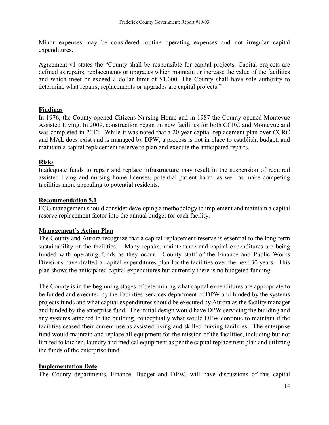Minor expenses may be considered routine operating expenses and not irregular capital expenditures.

Agreement-v1 states the "County shall be responsible for capital projects. Capital projects are defined as repairs, replacements or upgrades which maintain or increase the value of the facilities and which meet or exceed a dollar limit of \$1,000. The County shall have sole authority to determine what repairs, replacements or upgrades are capital projects."

## **Findings**

In 1976, the County opened Citizens Nursing Home and in 1987 the County opened Montevue Assisted Living. In 2009, construction began on new facilities for both CCRC and Montevue and was completed in 2012. While it was noted that a 20 year capital replacement plan over CCRC and MAL does exist and is managed by DPW, a process is not in place to establish, budget, and maintain a capital replacement reserve to plan and execute the anticipated repairs.

## **Risks**

Inadequate funds to repair and replace infrastructure may result in the suspension of required assisted living and nursing home licenses, potential patient harm, as well as make competing facilities more appealing to potential residents.

## **Recommendation 5.1**

FCG management should consider developing a methodology to implement and maintain a capital reserve replacement factor into the annual budget for each facility.

#### **Management's Action Plan**

The County and Aurora recognize that a capital replacement reserve is essential to the long-term sustainability of the facilities. Many repairs, maintenance and capital expenditures are being funded with operating funds as they occur. County staff of the Finance and Public Works Divisions have drafted a capital expenditures plan for the facilities over the next 30 years. This plan shows the anticipated capital expenditures but currently there is no budgeted funding.

The County is in the beginning stages of determining what capital expenditures are appropriate to be funded and executed by the Facilities Services department of DPW and funded by the systems projects funds and what capital expenditures should be executed by Aurora as the facility manager and funded by the enterprise fund. The initial design would have DPW servicing the building and any systems attached to the building, conceptually what would DPW continue to maintain if the facilities ceased their current use as assisted living and skilled nursing facilities. The enterprise fund would maintain and replace all equipment for the mission of the facilities, including but not limited to kitchen, laundry and medical equipment as per the capital replacement plan and utilizing the funds of the enterprise fund.

#### **Implementation Date**

The County departments, Finance, Budget and DPW, will have discussions of this capital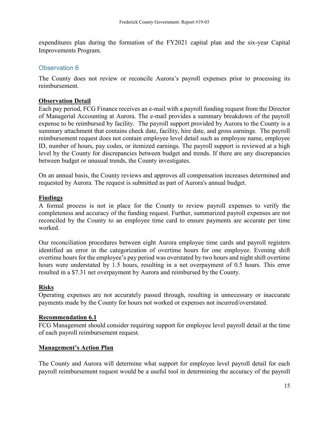expenditures plan during the formation of the FY2021 capital plan and the six-year Capital Improvements Program.

## Observation 6

The County does not review or reconcile Aurora's payroll expenses prior to processing its reimbursement.

## **Observation Detail**

Each pay period, FCG Finance receives an e-mail with a payroll funding request from the Director of Managerial Accounting at Aurora. The e-mail provides a summary breakdown of the payroll expense to be reimbursed by facility. The payroll support provided by Aurora to the County is a summary attachment that contains check date, facility, hire date, and gross earnings. The payroll reimbursement request does not contain employee level detail such as employee name, employee ID, number of hours, pay codes, or itemized earnings. The payroll support is reviewed at a high level by the County for discrepancies between budget and trends. If there are any discrepancies between budget or unusual trends, the County investigates.

On an annual basis, the County reviews and approves all compensation increases determined and requested by Aurora. The request is submitted as part of Aurora's annual budget.

#### **Findings**

A formal process is not in place for the County to review payroll expenses to verify the completeness and accuracy of the funding request. Further, summarized payroll expenses are not reconciled by the County to an employee time card to ensure payments are accurate per time worked.

Our reconciliation procedures between eight Aurora employee time cards and payroll registers identified an error in the categorization of overtime hours for one employee. Evening shift overtime hours for the employee's pay period was overstated by two hours and night shift overtime hours were understated by 1.5 hours, resulting in a net overpayment of 0.5 hours. This error resulted in a \$7.31 net overpayment by Aurora and reimbursed by the County.

#### **Risks**

Operating expenses are not accurately passed through, resulting in unnecessary or inaccurate payments made by the County for hours not worked or expenses not incurred/overstated.

#### **Recommendation 6.1**

FCG Management should consider requiring support for employee level payroll detail at the time of each payroll reimbursement request.

#### **Management's Action Plan**

The County and Aurora will determine what support for employee level payroll detail for each payroll reimbursement request would be a useful tool in determining the accuracy of the payroll